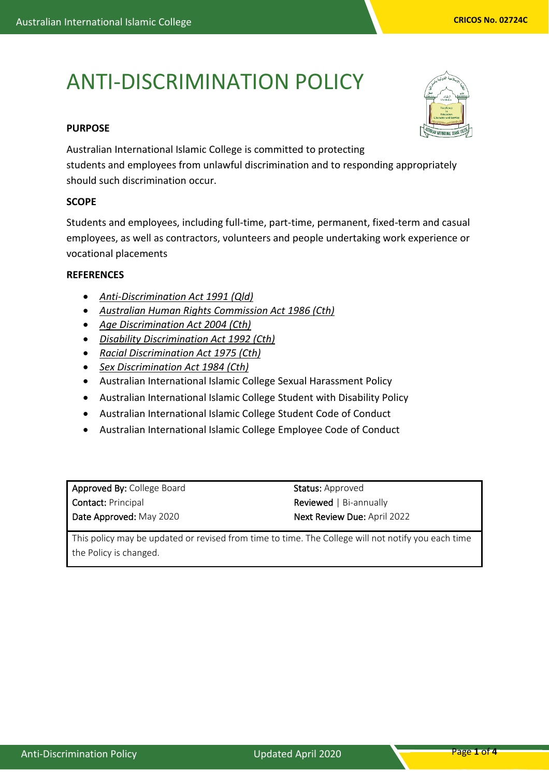# ANTI-DISCRIMINATION POLICY

## **PURPOSE**

Australian International Islamic College is committed to protecting students and employees from unlawful discrimination and to responding appropriately should such discrimination occur.

### **SCOPE**

Students and employees, including full-time, part-time, permanent, fixed-term and casual employees, as well as contractors, volunteers and people undertaking work experience or vocational placements

## **REFERENCES**

- *[Anti-Discrimination Act 1991 \(Qld\)](https://www.legislation.qld.gov.au/LEGISLTN/CURRENT/A/AntiDiscrimA91.pdf)*
- *[Australian Human Rights Commission Act 1986 \(Cth\)](http://www.comlaw.gov.au/Series/C2004A03366)*
- *[Age Discrimination Act 2004 \(Cth\)](http://www.comlaw.gov.au/Series/C2004A01302)*
- *[Disability Discrimination Act 1992 \(Cth\)](http://www.comlaw.gov.au/Series/C2004A04426)*
- *[Racial Discrimination Act](http://www.comlaw.gov.au/Series/C2004A00274) 1975 (Cth)*
- *[Sex Discrimination Act 1984 \(Cth\)](http://www.comlaw.gov.au/Series/C2004A02868)*
- Australian International Islamic College Sexual Harassment Policy
- Australian International Islamic College Student with Disability Policy
- Australian International Islamic College Student Code of Conduct
- Australian International Islamic College Employee Code of Conduct

| Approved By: College Board |
|----------------------------|
| <b>Contact: Principal</b>  |
| Date Approved: May 2020    |

Status: Approved Reviewed | Bi-annually Next Review Due: April 2022

This policy may be updated or revised from time to time. The College will not notify you each time the Policy is changed.

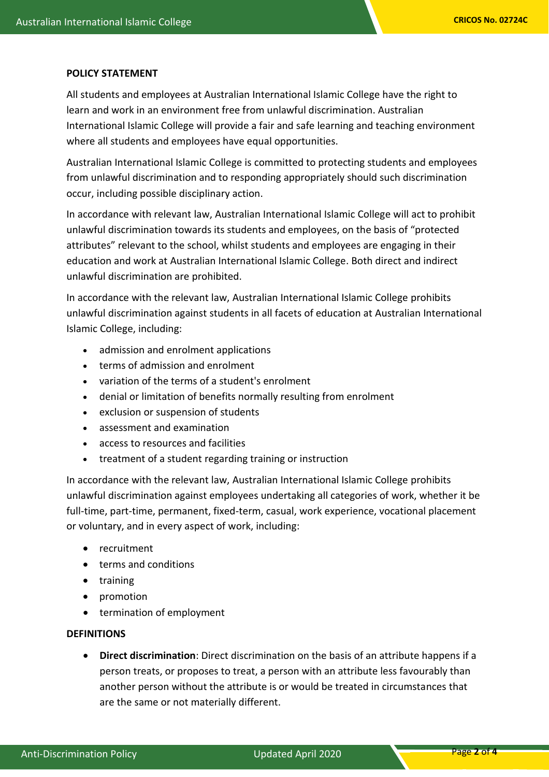#### **POLICY STATEMENT**

All students and employees at Australian International Islamic College have the right to learn and work in an environment free from unlawful discrimination. Australian International Islamic College will provide a fair and safe learning and teaching environment where all students and employees have equal opportunities.

Australian International Islamic College is committed to protecting students and employees from unlawful discrimination and to responding appropriately should such discrimination occur, including possible disciplinary action.

In accordance with relevant law, Australian International Islamic College will act to prohibit unlawful discrimination towards its students and employees, on the basis of "protected attributes" relevant to the school, whilst students and employees are engaging in their education and work at Australian International Islamic College. Both direct and indirect unlawful discrimination are prohibited.

In accordance with the relevant law, Australian International Islamic College prohibits unlawful discrimination against students in all facets of education at Australian International Islamic College, including:

- admission and enrolment applications
- terms of admission and enrolment
- variation of the terms of a student's enrolment
- denial or limitation of benefits normally resulting from enrolment
- exclusion or suspension of students
- assessment and examination
- access to resources and facilities
- treatment of a student regarding training or instruction

In accordance with the relevant law, Australian International Islamic College prohibits unlawful discrimination against employees undertaking all categories of work, whether it be full-time, part-time, permanent, fixed-term, casual, work experience, vocational placement or voluntary, and in every aspect of work, including:

- recruitment
- terms and conditions
- training
- promotion
- termination of employment

### **DEFINITIONS**

• **Direct discrimination**: Direct discrimination on the basis of an attribute happens if a person treats, or proposes to treat, a person with an attribute less favourably than another person without the attribute is or would be treated in circumstances that are the same or not materially different.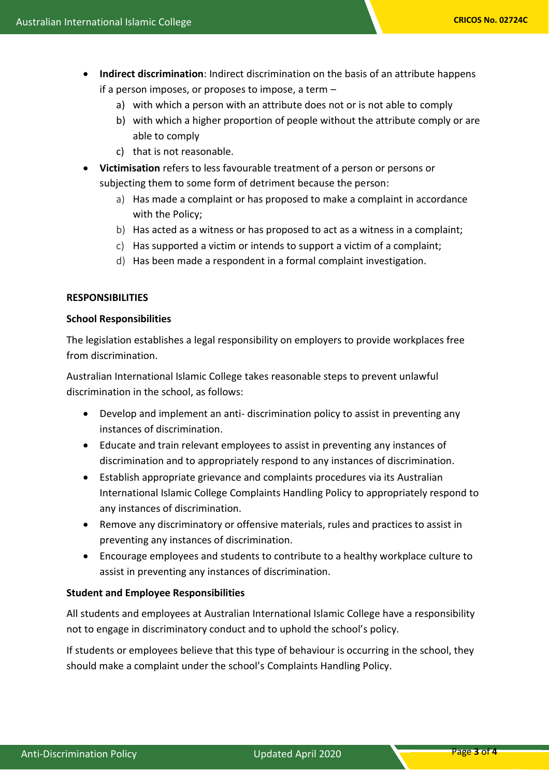- **Indirect discrimination**: Indirect discrimination on the basis of an attribute happens if a person imposes, or proposes to impose, a term –
	- a) with which a person with an attribute does not or is not able to comply
	- b) with which a higher proportion of people without the attribute comply or are able to comply
	- c) that is not reasonable.
- **Victimisation** refers to less favourable treatment of a person or persons or subjecting them to some form of detriment because the person:
	- a) Has made a complaint or has proposed to make a complaint in accordance with the Policy;
	- b) Has acted as a witness or has proposed to act as a witness in a complaint;
	- c) Has supported a victim or intends to support a victim of a complaint;
	- d) Has been made a respondent in a formal complaint investigation.

### **RESPONSIBILITIES**

### **School Responsibilities**

The legislation establishes a legal responsibility on employers to provide workplaces free from discrimination.

Australian International Islamic College takes reasonable steps to prevent unlawful discrimination in the school, as follows:

- Develop and implement an anti- discrimination policy to assist in preventing any instances of discrimination.
- Educate and train relevant employees to assist in preventing any instances of discrimination and to appropriately respond to any instances of discrimination.
- Establish appropriate grievance and complaints procedures via its Australian International Islamic College Complaints Handling Policy to appropriately respond to any instances of discrimination.
- Remove any discriminatory or offensive materials, rules and practices to assist in preventing any instances of discrimination.
- Encourage employees and students to contribute to a healthy workplace culture to assist in preventing any instances of discrimination.

### **Student and Employee Responsibilities**

All students and employees at Australian International Islamic College have a responsibility not to engage in discriminatory conduct and to uphold the school's policy.

If students or employees believe that this type of behaviour is occurring in the school, they should make a complaint under the school's Complaints Handling Policy.